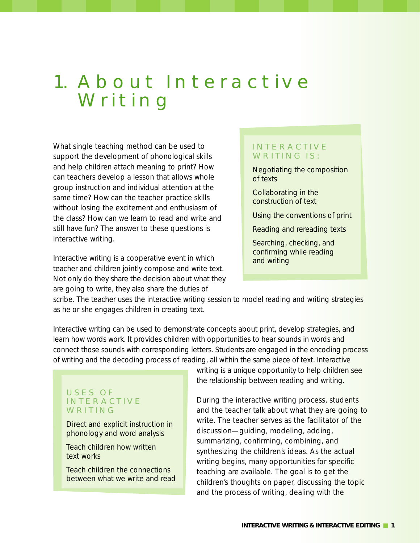# 1. About Interactive Writing

What single teaching method can be used to support the development of phonological skills and help children attach meaning to print? How can teachers develop a lesson that allows whole group instruction and individual attention at the same time? How can the teacher practice skills without losing the excitement and enthusiasm of the class? How can we learn to read and write and still have fun? The answer to these questions is interactive writing.

Interactive writing is a cooperative event in which teacher and children jointly compose and write text. Not only do they share the decision about what they are going to write, they also share the duties of

#### INTERACTIVE WRITING IS:

*Negotiating the composition of texts*

*Collaborating in the construction of text*

*Using the conventions of print*

*Reading and rereading texts*

*Searching, checking, and confirming while reading and writing*

scribe. The teacher uses the interactive writing session to model reading and writing strategies as he or she engages children in creating text.

Interactive writing can be used to demonstrate concepts about print, develop strategies, and learn how words work. It provides children with opportunities to hear sounds in words and connect those sounds with corresponding letters. Students are engaged in the encoding process of writing and the decoding process of reading, all within the same piece of text. Interactive

#### USES OF INTERACTIVE WRITING

*Direct and explicit instruction in phonology and word analysis*

*Teach children how written text works*

*Teach children the connections between what we write and read* writing is a unique opportunity to help children see the relationship between reading and writing.

During the interactive writing process, students and the teacher talk about what they are going to write. The teacher serves as the facilitator of the discussion—guiding, modeling, adding, summarizing, confirming, combining, and synthesizing the children's ideas. As the actual writing begins, many opportunities for specific teaching are available. The goal is to get the children's thoughts on paper, discussing the topic and the process of writing, dealing with the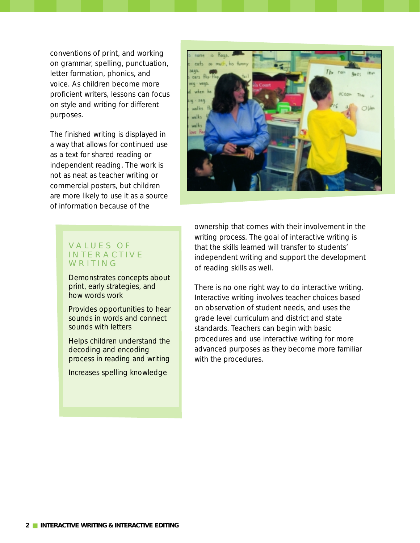conventions of print, and working on grammar, spelling, punctuation, letter formation, phonics, and voice. As children become more proficient writers, lessons can focus on style and writing for different purposes.

The finished writing is displayed in a way that allows for continued use as a text for shared reading or independent reading. The work is not as neat as teacher writing or commercial posters, but children are more likely to use it as a source of information because of the



#### VALUES OF INTERACTIVE WRITING

*Demonstrates concepts about print, early strategies, and how words work*

*Provides opportunities to hear sounds in words and connect sounds with letters*

*Helps children understand the decoding and encoding process in reading and writing*

*Increases spelling knowledge*

ownership that comes with their involvement in the writing process. The goal of interactive writing is that the skills learned will transfer to students' independent writing and support the development of reading skills as well.

There is no one right way to do interactive writing. Interactive writing involves teacher choices based on observation of student needs, and uses the grade level curriculum and district and state standards. Teachers can begin with basic procedures and use interactive writing for more advanced purposes as they become more familiar with the procedures.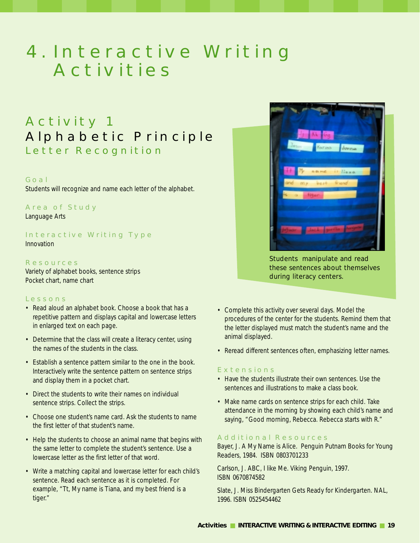# 4. Interactive Writing Activities

## Activity 1 Alphabetic Principle Letter Recognition

#### Goal

Students will recognize and name each letter of the alphabet.

### Area of Study

Language Arts

#### Interactive Writing Type Innovation

#### Resources

Variety of alphabet books, sentence strips Pocket chart, name chart

#### Lessons

- Read aloud an alphabet book. Choose a book that has a repetitive pattern and displays capital and lowercase letters in enlarged text on each page.
- Determine that the class will create a literacy center, using the names of the students in the class.
- Establish a sentence pattern similar to the one in the book. Interactively write the sentence pattern on sentence strips and display them in a pocket chart.
- Direct the students to write their names on individual sentence strips. Collect the strips.
- Choose one student's name card. Ask the students to name the first letter of that student's name.
- Help the students to choose an animal name that begins with the same letter to complete the student's sentence. Use a lowercase letter as the first letter of that word.
- Write a matching capital and lowercase letter for each child's sentence. Read each sentence as it is completed. For example, "Tt, My name is Tiana, and my best friend is a tiger."



Students manipulate and read these sentences about themselves during literacy centers.

- Complete this activity over several days. Model the procedures of the center for the students. Remind them that the letter displayed must match the student's name and the animal displayed.
- Reread different sentences often, emphasizing letter names.

#### Extensions

- Have the students illustrate their own sentences. Use the sentences and illustrations to make a class book.
- Make name cards on sentence strips for each child. Take attendance in the morning by showing each child's name and saying, "Good morning, Rebecca. Rebecca starts with *R*."

#### Additional Resources

Bayer, J. *A My Name is Alice*. Penguin Putnam Books for Young Readers, 1984. ISBN 0803701233

Carlson, J. *ABC, I like Me*. Viking Penguin, 1997. ISBN 0670874582

Slate, J. *Miss Bindergarten Gets Ready for Kindergarten*. NAL, 1996. ISBN 0525454462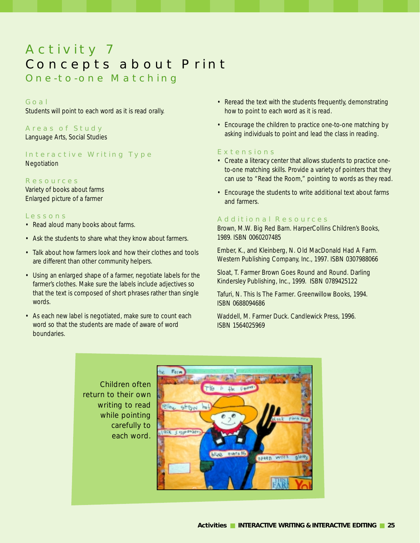### Activity 7 Concepts about Print One-to-one Matching

#### Goal

Students will point to each word as it is read orally.

#### Areas of Study Language Arts, Social Studies

### Interactive Writing Type

Negotiation

#### Resources

Variety of books about farms Enlarged picture of a farmer

#### Lessons

- Read aloud many books about farms.
- Ask the students to share what they know about farmers.
- Talk about how farmers look and how their clothes and tools are different than other community helpers.
- Using an enlarged shape of a farmer, negotiate labels for the farmer's clothes. Make sure the labels include adjectives so that the text is composed of short phrases rather than single words.
- As each new label is negotiated, make sure to count each word so that the students are made of aware of word boundaries.
- Reread the text with the students frequently, demonstrating how to point to each word as it is read.
- Encourage the children to practice one-to-one matching by asking individuals to point and lead the class in reading.

#### Extensions

- Create a literacy center that allows students to practice oneto-one matching skills. Provide a variety of pointers that they can use to "Read the Room," pointing to words as they read.
- Encourage the students to write additional text about farms and farmers.

#### Additional Resources

Brown, M.W. *Big Red Barn*. HarperCollins Children's Books, 1989. ISBN 0060207485

Ember, K., and Kleinberg, N. *Old MacDonald Had A Farm*. Western Publishing Company, Inc., 1997. ISBN 0307988066

Sloat, T. *Farmer Brown Goes Round and Round*. Darling Kindersley Publishing, Inc., 1999. ISBN 0789425122

Tafuri, N. *This Is The Farmer*. Greenwillow Books, 1994. ISBN 0688094686

Waddell, M. *Farmer Duck.* Candlewick Press, 1996. ISBN 1564025969

Children often return to their own writing to read while pointing carefully to each word.

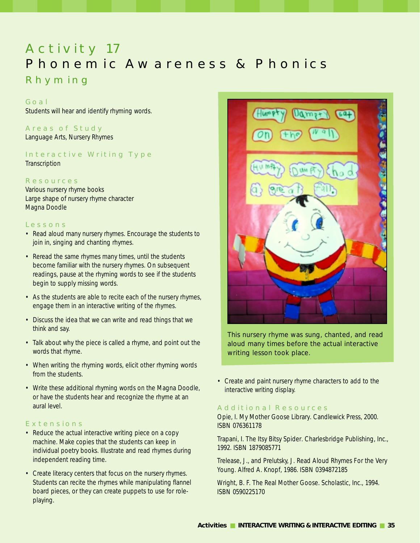## Activity 17 Phonemic Awareness & Phonics Rhyming

#### Goal

Students will hear and identify rhyming words.

Areas of Study Language Arts, Nursery Rhymes

Interactive Writing Type **Transcription** 

#### Resources

Various nursery rhyme books Large shape of nursery rhyme character Magna Doodle

#### Lessons

- Read aloud many nursery rhymes. Encourage the students to join in, singing and chanting rhymes.
- Reread the same rhymes many times, until the students become familiar with the nursery rhymes. On subsequent readings, pause at the rhyming words to see if the students begin to supply missing words.
- As the students are able to recite each of the nursery rhymes, engage them in an interactive writing of the rhymes.
- Discuss the idea that we can write and read things that we think and say.
- Talk about why the piece is called a rhyme, and point out the words that rhyme.
- When writing the rhyming words, elicit other rhyming words from the students.
- Write these additional rhyming words on the Magna Doodle, or have the students hear and recognize the rhyme at an aural level.

#### Extensions

- Reduce the actual interactive writing piece on a copy machine. Make copies that the students can keep in individual poetry books. Illustrate and read rhymes during independent reading time.
- Create literacy centers that focus on the nursery rhymes. Students can recite the rhymes while manipulating flannel board pieces, or they can create puppets to use for roleplaying.



This nursery rhyme was sung, chanted, and read aloud many times before the actual interactive writing lesson took place.

• Create and paint nursery rhyme characters to add to the interactive writing display.

#### Additional Resources

Opie, I. *My Mother Goose Library*. Candlewick Press, 2000. ISBN 076361178

Trapani, I. *The Itsy Bitsy Spider*. Charlesbridge Publishing, Inc., 1992. ISBN 1879085771

Trelease, J., and Prelutsky, J. *Read Aloud Rhymes For the Very Young*. Alfred A. Knopf, 1986. ISBN 0394872185

Wright, B. F. *The Real Mother Goose*. Scholastic, Inc., 1994. ISBN 0590225170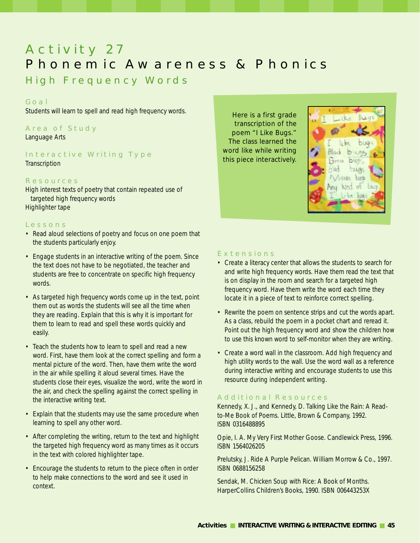## Activity 27 Phonemic Awareness & Phonics High Frequency Words

#### Goal

Students will learn to spell and read high frequency words.

Area of Study Language Arts

Interactive Writing Type

**Transcription** 

#### Resources

High interest texts of poetry that contain repeated use of targeted high frequency words Highlighter tape

#### Lessons

- Read aloud selections of poetry and focus on one poem that the students particularly enjoy.
- Engage students in an interactive writing of the poem. Since the text does not have to be negotiated, the teacher and students are free to concentrate on specific high frequency words.
- As targeted high frequency words come up in the text, point them out as words the students will see all the time when they are reading. Explain that this is why it is important for them to learn to read and spell these words quickly and easily.
- Teach the students how to learn to spell and read a new word. First, have them look at the correct spelling and form a mental picture of the word. Then, have them write the word in the air while spelling it aloud several times. Have the students close their eyes, visualize the word, write the word in the air, and check the spelling against the correct spelling in the interactive writing text.
- Explain that the students may use the same procedure when learning to spell any other word.
- After completing the writing, return to the text and highlight the targeted high frequency word as many times as it occurs in the text with colored highlighter tape.
- Encourage the students to return to the piece often in order to help make connections to the word and see it used in context.

Here is a first grade transcription of the poem "I Like Bugs." The class learned the word *like* while writing this piece interactively.



#### Extensions

- Create a literacy center that allows the students to search for and write high frequency words. Have them read the text that is on display in the room and search for a targeted high frequency word. Have them write the word each time they locate it in a piece of text to reinforce correct spelling.
- Rewrite the poem on sentence strips and cut the words apart. As a class, rebuild the poem in a pocket chart and reread it. Point out the high frequency word and show the children how to use this known word to self-monitor when they are writing.
- Create a word wall in the classroom. Add high frequency and high utility words to the wall. Use the word wall as a reference during interactive writing and encourage students to use this resource during independent writing.

#### Additional Resources

Kennedy, X. J., and Kennedy, D. *Talking Like the Rain: A Readto-Me Book of Poems*. Little, Brown & Company, 1992. ISBN 0316488895

Opie, I. *A. My Very First Mother Goose.* Candlewick Press, 1996. ISBN 1564026205

Prelutsky, J. *Ride A Purple Pelican*. William Morrow & Co., 1997. ISBN 0688156258

Sendak, M. *Chicken Soup with Rice: A Book of Months.* HarperCollins Children's Books, 1990. ISBN 006443253X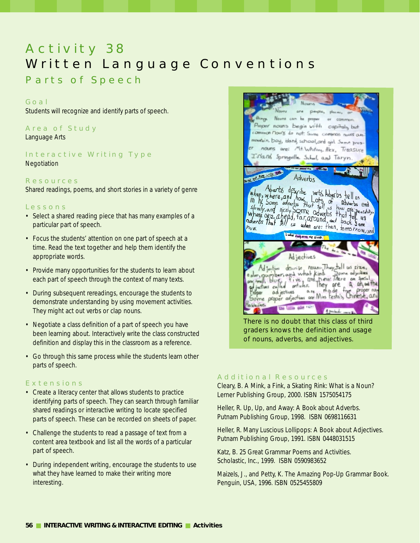## Activity 38 Written Language Conventions Parts of Speech

#### Goal

Students will recognize and identify parts of speech.

Area of Study Language Arts

#### Interactive Writing Type

**Negotiation** 

#### Resources

Shared readings, poems, and short stories in a variety of genre

#### Lessons

- Select a shared reading piece that has many examples of a particular part of speech.
- Focus the students' attention on one part of speech at a time. Read the text together and help them identify the appropriate words.
- Provide many opportunities for the students to learn about each part of speech through the context of many texts.
- During subsequent rereadings, encourage the students to demonstrate understanding by using movement activities. They might act out verbs or clap nouns.
- Negotiate a class definition of a part of speech you have been learning about. Interactively write the class constructed definition and display this in the classroom as a reference.
- Go through this same process while the students learn other parts of speech.

#### Extensions

- Create a literacy center that allows students to practice identifying parts of speech. They can search through familiar shared readings or interactive writing to locate specified parts of speech. These can be recorded on sheets of paper.
- Challenge the students to read a passage of text from a content area textbook and list all the words of a particular part of speech.
- During independent writing, encourage the students to use what they have learned to make their writing more interesting.



There is no doubt that this class of third graders knows the definition and usage of nouns, adverbs, and adjectives.

#### Additional Resources

Cleary, B. *A Mink, a Fink, a Skating Rink: What is a Noun?*  Lerner Publishing Group, 2000. ISBN 1575054175

Heller, R. *Up, Up, and Away: A Book about Adverbs.* Putnam Publishing Group, 1998. ISBN 0698116631

Heller, R. *Many Luscious Lollipops: A Book about Adjectives.* Putnam Publishing Group, 1991. ISBN 0448031515

Katz, B. *25 Great Grammar Poems and Activities.*  Scholastic, Inc., 1999. ISBN 0590983652

Maizels, J., and Petty, K. *The Amazing Pop-Up Grammar Book.* Penguin, USA, 1996. ISBN 0525455809